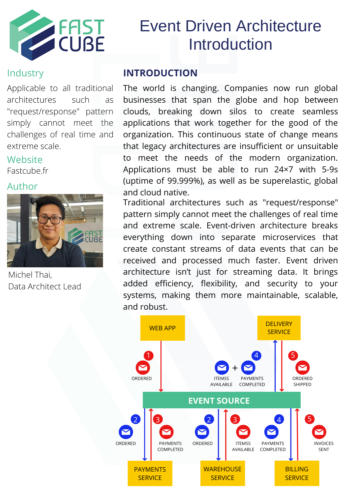

# Event Driven Architecture Introduction

## **Industry**

Applicable to all traditional architectures such as "request/response" pattern simply cannot meet the challenges of real time and extreme scale.

# **Website**

Fastcube.fr

### Author



Michel Thai, Data Architect Lead

### **INTRODUCTION**

The world is changing. Companies now run global businesses that span the globe and hop between clouds, breaking down silos to create seamless applications that work together for the good of the organization. This continuous state of change means that legacy architectures are insufficient or unsuitable to meet the needs of the modern organization. Applications must be able to run 24×7 with 5-9s (uptime of 99.999%), as well as be superelastic, global and cloud native.

Traditional architectures such as "request/response" pattern simply cannot meet the challenges of real time and extreme scale. Event-driven architecture breaks everything down into separate microservices that create constant streams of data events that can be received and processed much faster. Event driven architecture isn't just for streaming data. It brings added efficiency, flexibility, and security to your systems, making them more maintainable, scalable, and robust.

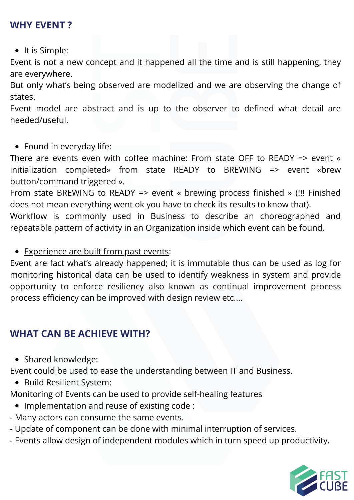## **WHY EVENT ?**

• It is Simple:

Event is not a new concept and it happened all the time and is still happening, they are everywhere.

But only what's being observed are modelized and we are observing the change of states.

Event model are abstract and is up to the observer to defined what detail are needed/useful.

• Found in everyday life:

There are events even with coffee machine: From state OFF to READY => event « initialization completed» from state READY to BREWING => event «brew button/command triggered ».

From state BREWING to READY => event « brewing process finished » (!!! Finished does not mean everything went ok you have to check its results to know that).

Workflow is commonly used in Business to describe an choreographed and repeatable pattern of activity in an Organization inside which event can be found.

• Experience are built from past events:

Event are fact what's already happened; it is immutable thus can be used as log for monitoring historical data can be used to identify weakness in system and provide opportunity to enforce resiliency also known as continual improvement process process efficiency can be improved with design review etc.…

## **WHAT CAN BE ACHIEVE WITH?**

• Shared knowledge:

Event could be used to ease the understanding between IT and Business.

• Build Resilient System:

Monitoring of Events can be used to provide self-healing features

- Implementation and reuse of existing code :
- Many actors can consume the same events.
- Update of component can be done with minimal interruption of services.
- Events allow design of independent modules which in turn speed up productivity.

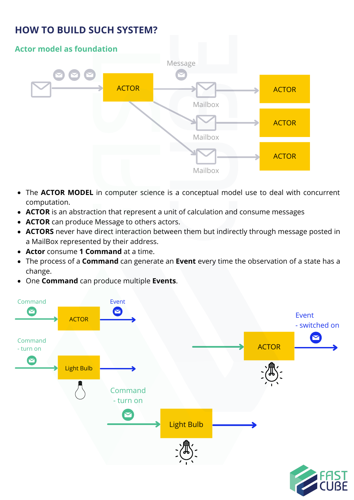## **HOW TO BUILD SUCH SYSTEM?**



- The **ACTOR MODEL** in computer science is a conceptual model use to deal with concurrent computation.
- **ACTOR** is an abstraction that represent a unit of calculation and consume messages
- **ACTOR** can produce Message to others actors.
- **ACTORS** never have direct interaction between them but indirectly through message posted in a MailBox represented by their address.
- **Actor** consume **1 Command** at a time.
- The process of a **Command** can generate an **Event** every time the observation of a state has a change.
- One **Command** can produce multiple **Events**.